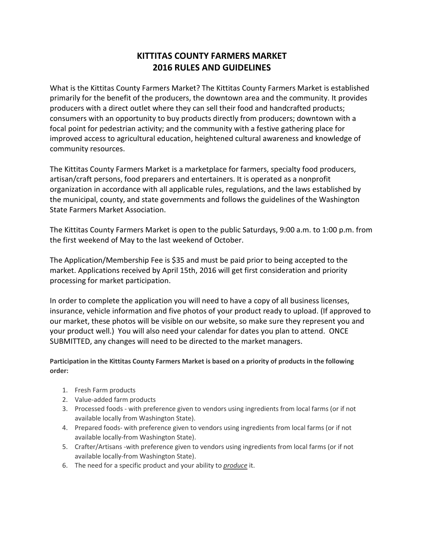## **KITTITAS COUNTY FARMERS MARKET 2016 RULES AND GUIDELINES**

What is the Kittitas County Farmers Market? The Kittitas County Farmers Market is established primarily for the benefit of the producers, the downtown area and the community. It provides producers with a direct outlet where they can sell their food and handcrafted products; consumers with an opportunity to buy products directly from producers; downtown with a focal point for pedestrian activity; and the community with a festive gathering place for improved access to agricultural education, heightened cultural awareness and knowledge of community resources.

The Kittitas County Farmers Market is a marketplace for farmers, specialty food producers, artisan/craft persons, food preparers and entertainers. It is operated as a nonprofit organization in accordance with all applicable rules, regulations, and the laws established by the municipal, county, and state governments and follows the guidelines of the Washington State Farmers Market Association.

The Kittitas County Farmers Market is open to the public Saturdays, 9:00 a.m. to 1:00 p.m. from the first weekend of May to the last weekend of October.

The Application/Membership Fee is \$35 and must be paid prior to being accepted to the market. Applications received by April 15th, 2016 will get first consideration and priority processing for market participation.

In order to complete the application you will need to have a copy of all business licenses, insurance, vehicle information and five photos of your product ready to upload. (If approved to our market, these photos will be visible on our website, so make sure they represent you and your product well.) You will also need your calendar for dates you plan to attend. ONCE SUBMITTED, any changes will need to be directed to the market managers.

**Participation in the Kittitas County Farmers Market is based on a priority of products in the following order:**

- 1. Fresh Farm products
- 2. Value-added farm products
- 3. Processed foods with preference given to vendors using ingredients from local farms (or if not available locally from Washington State).
- 4. Prepared foods- with preference given to vendors using ingredients from local farms (or if not available locally-from Washington State).
- 5. Crafter/Artisans -with preference given to vendors using ingredients from local farms (or if not available locally-from Washington State).
- 6. The need for a specific product and your ability to *produce* it.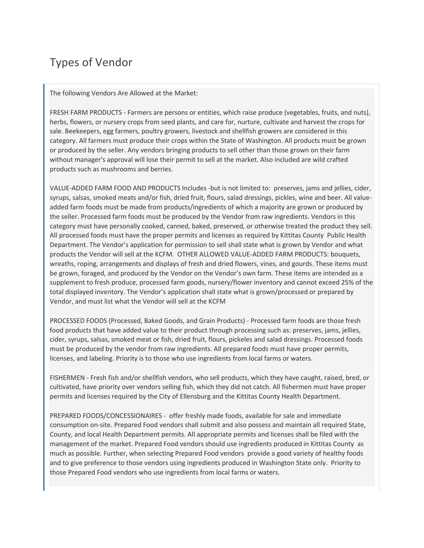# Types of Vendor

The following Vendors Are Allowed at the Market:

FRESH FARM PRODUCTS - Farmers are persons or entities, which raise produce (vegetables, fruits, and nuts), herbs, flowers, or nursery crops from seed plants, and care for, nurture, cultivate and harvest the crops for sale. Beekeepers, egg farmers, poultry growers, livestock and shellfish growers are considered in this category. All farmers must produce their crops within the State of Washington. All products must be grown or produced by the seller. Any vendors bringing products to sell other than those grown on their farm without manager's approval will lose their permit to sell at the market. Also included are wild crafted products such as mushrooms and berries.

VALUE-ADDED FARM FOOD AND PRODUCTS Includes -but is not limited to: preserves, jams and jellies, cider, syrups, salsas, smoked meats and/or fish, dried fruit, flours, salad dressings, pickles, wine and beer. All valueadded farm foods must be made from products/ingredients of which a majority are grown or produced by the seller. Processed farm foods must be produced by the Vendor from raw ingredients. Vendors in this category must have personally cooked, canned, baked, preserved, or otherwise treated the product they sell. All processed foods must have the proper permits and licenses as required by Kittitas County Public Health Department. The Vendor's application for permission to sell shall state what is grown by Vendor and what products the Vendor will sell at the KCFM. OTHER ALLOWED VALUE-ADDED FARM PRODUCTS: bouquets, wreaths, roping, arrangements and displays of fresh and dried flowers, vines, and gourds. These items must be grown, foraged, and produced by the Vendor on the Vendor's own farm. These items are intended as a supplement to fresh produce, processed farm goods, nursery/flower inventory and cannot exceed 25% of the total displayed inventory. The Vendor's application shall state what is grown/processed or prepared by Vendor, and must list what the Vendor will sell at the KCFM

PROCESSED FOODS (Processed, Baked Goods, and Grain Products) - Processed farm foods are those fresh food products that have added value to their product through processing such as: preserves, jams, jellies, cider, syrups, salsas, smoked meat or fish, dried fruit, flours, pickeles and salad dressings. Processed foods must be produced by the vendor from raw ingredients. All prepared foods must have proper permits, licenses, and labeling. Priority is to those who use ingredients from local farms or waters.

FISHERMEN - Fresh fish and/or shellfish vendors, who sell products, which they have caught, raised, bred, or cultivated, have priority over vendors selling fish, which they did not catch. All fishermen must have proper permits and licenses required by the City of Ellensburg and the Kittitas County Health Department.

PREPARED FOODS/CONCESSIONAIRES - offer freshly made foods, available for sale and immediate consumption on-site. Prepared Food vendors shall submit and also possess and maintain all required State, County, and local Health Department permits. All appropriate permits and licenses shall be filed with the management of the market. Prepared Food vendors should use ingredients produced in Kittitas County as much as possible. Further, when selecting Prepared Food vendors provide a good variety of healthy foods and to give preference to those vendors using ingredients produced in Washington State only. Priority to those Prepared Food vendors who use ingredients from local farms or waters.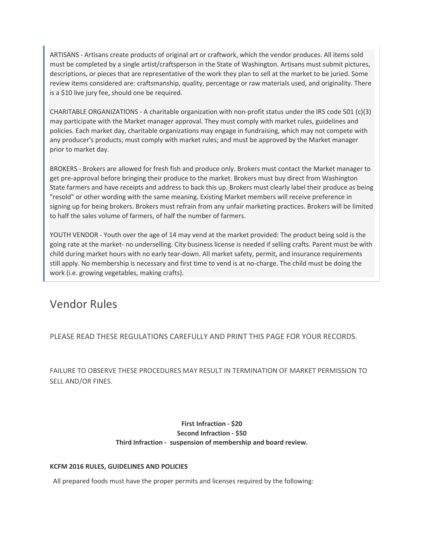ARTISANS - Artisans create products of original art or craftwork, which the vendor produces. All items sold must be completed by a single artist/craftsperson in the State of Washington. Artisans must submit pictures, descriptions, or pieces that are representative of the work they plan to sell at the market to be juried. Some review items considered are: craftsmanship, quality, percentage or raw materials used, and originality. There is a \$10 live jury fee, should one be required.

CHARITABLE ORGANIZATIONS - A charitable organization with non-profit status under the IRS code 501 (c)(3) may participate with the Market manager approval. They must comply with market rules, guidelines and policies. Each market day, charitable organizations may engage in fundraising, which may not compete with any producer's products; must comply with market rules; and must be approved by the Market manager prior to market day.

BROKERS - Brokers are allowed for fresh fish and produce only. Brokers must contact the Market manager to get pre-approval before bringing their produce to the market. Brokers must buy direct from Washington State farmers and have receipts and address to back this up. Brokers must clearly label their produce as being "resold" or other wording with the same meaning. Existing Market members will receive preference in signing up for being brokers. Brokers must refrain from any unfair marketing practices. Brokers will be limited to half the sales volume of farmers, of half the number of farmers.

YOUTH VENDOR - Youth over the age of 14 may vend at the market provided: The product being sold is the going rate at the market- no underselling. City business license is needed if selling crafts. Parent must be with child during market hours with no early tear-down. All market safety, permit, and insurance requirements still apply. No membership is necessary and first time to vend is at no-charge. The child must be doing the work (i.e. growing vegetables, making crafts).

## Vendor Rules

PLEASE READ THESE REGULATIONS CAREFULLY AND PRINT THIS PAGE FOR YOUR RECORDS.

FAILURE TO OBSERVE THESE PROCEDURES MAY RESULT IN TERMINATION OF MARKET PERMISSION TO SELL AND/OR FINES.

#### **First Infraction - \$20 Second Infraction - \$50 Third Infraction - suspension of membership and board review.**

#### **KCFM 2016 RULES, GUIDELINES AND POLICIES**

All prepared foods must have the proper permits and licenses required by the following: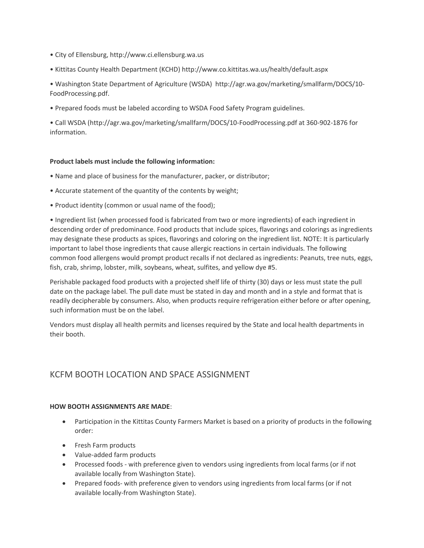- City of Ellensburg, http://www.ci.ellensburg.wa.us
- Kittitas County Health Department (KCHD) http://www.co.kittitas.wa.us/health/default.aspx
- Washington State Department of Agriculture (WSDA) http://agr.wa.gov/marketing/smallfarm/DOCS/10- FoodProcessing.pdf.
- Prepared foods must be labeled according to WSDA Food Safety Program guidelines.

• Call WSDA (http://agr.wa.gov/marketing/smallfarm/DOCS/10-FoodProcessing.pdf at 360-902-1876 for information.

#### **Product labels must include the following information:**

- Name and place of business for the manufacturer, packer, or distributor;
- Accurate statement of the quantity of the contents by weight;
- Product identity (common or usual name of the food);

• Ingredient list (when processed food is fabricated from two or more ingredients) of each ingredient in descending order of predominance. Food products that include spices, flavorings and colorings as ingredients may designate these products as spices, flavorings and coloring on the ingredient list. NOTE: It is particularly important to label those ingredients that cause allergic reactions in certain individuals. The following common food allergens would prompt product recalls if not declared as ingredients: Peanuts, tree nuts, eggs, fish, crab, shrimp, lobster, milk, soybeans, wheat, sulfites, and yellow dye #5.

Perishable packaged food products with a projected shelf life of thirty (30) days or less must state the pull date on the package label. The pull date must be stated in day and month and in a style and format that is readily decipherable by consumers. Also, when products require refrigeration either before or after opening, such information must be on the label.

Vendors must display all health permits and licenses required by the State and local health departments in their booth.

## KCFM BOOTH LOCATION AND SPACE ASSIGNMENT

#### **HOW BOOTH ASSIGNMENTS ARE MADE**:

- Participation in the Kittitas County Farmers Market is based on a priority of products in the following order:
- Fresh Farm products
- Value-added farm products
- Processed foods with preference given to vendors using ingredients from local farms (or if not available locally from Washington State).
- Prepared foods- with preference given to vendors using ingredients from local farms (or if not available locally-from Washington State).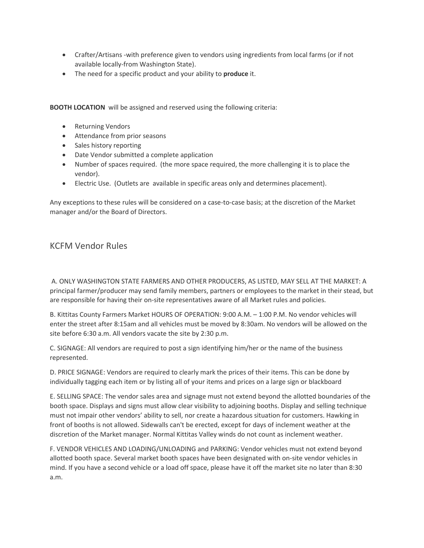- Crafter/Artisans -with preference given to vendors using ingredients from local farms (or if not available locally-from Washington State).
- The need for a specific product and your ability to **produce** it.

**BOOTH LOCATION** will be assigned and reserved using the following criteria:

- Returning Vendors
- Attendance from prior seasons
- Sales history reporting
- Date Vendor submitted a complete application
- Number of spaces required. (the more space required, the more challenging it is to place the vendor).
- Electric Use. (Outlets are available in specific areas only and determines placement).

Any exceptions to these rules will be considered on a case-to-case basis; at the discretion of the Market manager and/or the Board of Directors.

### KCFM Vendor Rules

A. ONLY WASHINGTON STATE FARMERS AND OTHER PRODUCERS, AS LISTED, MAY SELL AT THE MARKET: A principal farmer/producer may send family members, partners or employees to the market in their stead, but are responsible for having their on-site representatives aware of all Market rules and policies.

B. Kittitas County Farmers Market HOURS OF OPERATION: 9:00 A.M. – 1:00 P.M. No vendor vehicles will enter the street after 8:15am and all vehicles must be moved by 8:30am. No vendors will be allowed on the site before 6:30 a.m. All vendors vacate the site by 2:30 p.m.

C. SIGNAGE: All vendors are required to post a sign identifying him/her or the name of the business represented.

D. PRICE SIGNAGE: Vendors are required to clearly mark the prices of their items. This can be done by individually tagging each item or by listing all of your items and prices on a large sign or blackboard

E. SELLING SPACE: The vendor sales area and signage must not extend beyond the allotted boundaries of the booth space. Displays and signs must allow clear visibility to adjoining booths. Display and selling technique must not impair other vendors' ability to sell, nor create a hazardous situation for customers. Hawking in front of booths is not allowed. Sidewalls can't be erected, except for days of inclement weather at the discretion of the Market manager. Normal Kittitas Valley winds do not count as inclement weather.

F. VENDOR VEHICLES AND LOADING/UNLOADING and PARKING: Vendor vehicles must not extend beyond allotted booth space. Several market booth spaces have been designated with on-site vendor vehicles in mind. If you have a second vehicle or a load off space, please have it off the market site no later than 8:30 a.m.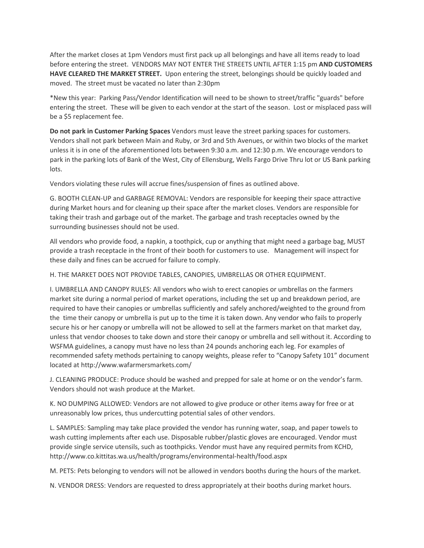After the market closes at 1pm Vendors must first pack up all belongings and have all items ready to load before entering the street. VENDORS MAY NOT ENTER THE STREETS UNTIL AFTER 1:15 pm **AND CUSTOMERS HAVE CLEARED THE MARKET STREET.** Upon entering the street, belongings should be quickly loaded and moved. The street must be vacated no later than 2:30pm

\*New this year: Parking Pass/Vendor Identification will need to be shown to street/traffic "guards" before entering the street. These will be given to each vendor at the start of the season. Lost or misplaced pass will be a \$5 replacement fee.

**Do not park in Customer Parking Spaces** Vendors must leave the street parking spaces for customers. Vendors shall not park between Main and Ruby, or 3rd and 5th Avenues, or within two blocks of the market unless it is in one of the aforementioned lots between 9:30 a.m. and 12:30 p.m. We encourage vendors to park in the parking lots of Bank of the West, City of Ellensburg, Wells Fargo Drive Thru lot or US Bank parking lots.

Vendors violating these rules will accrue fines/suspension of fines as outlined above.

G. BOOTH CLEAN-UP and GARBAGE REMOVAL: Vendors are responsible for keeping their space attractive during Market hours and for cleaning up their space after the market closes. Vendors are responsible for taking their trash and garbage out of the market. The garbage and trash receptacles owned by the surrounding businesses should not be used.

All vendors who provide food, a napkin, a toothpick, cup or anything that might need a garbage bag, MUST provide a trash receptacle in the front of their booth for customers to use. Management will inspect for these daily and fines can be accrued for failure to comply.

H. THE MARKET DOES NOT PROVIDE TABLES, CANOPIES, UMBRELLAS OR OTHER EQUIPMENT.

I. UMBRELLA AND CANOPY RULES: All vendors who wish to erect canopies or umbrellas on the farmers market site during a normal period of market operations, including the set up and breakdown period, are required to have their canopies or umbrellas sufficiently and safely anchored/weighted to the ground from the time their canopy or umbrella is put up to the time it is taken down. Any vendor who fails to properly secure his or her canopy or umbrella will not be allowed to sell at the farmers market on that market day, unless that vendor chooses to take down and store their canopy or umbrella and sell without it. According to WSFMA guidelines, a canopy must have no less than 24 pounds anchoring each leg. For examples of recommended safety methods pertaining to canopy weights, please refer to "Canopy Safety 101" document located at http://www.wafarmersmarkets.com/

J. CLEANING PRODUCE: Produce should be washed and prepped for sale at home or on the vendor's farm. Vendors should not wash produce at the Market.

K. NO DUMPING ALLOWED: Vendors are not allowed to give produce or other items away for free or at unreasonably low prices, thus undercutting potential sales of other vendors.

L. SAMPLES: Sampling may take place provided the vendor has running water, soap, and paper towels to wash cutting implements after each use. Disposable rubber/plastic gloves are encouraged. Vendor must provide single service utensils, such as toothpicks. Vendor must have any required permits from KCHD, http://www.co.kittitas.wa.us/health/programs/environmental-health/food.aspx

M. PETS: Pets belonging to vendors will not be allowed in vendors booths during the hours of the market.

N. VENDOR DRESS: Vendors are requested to dress appropriately at their booths during market hours.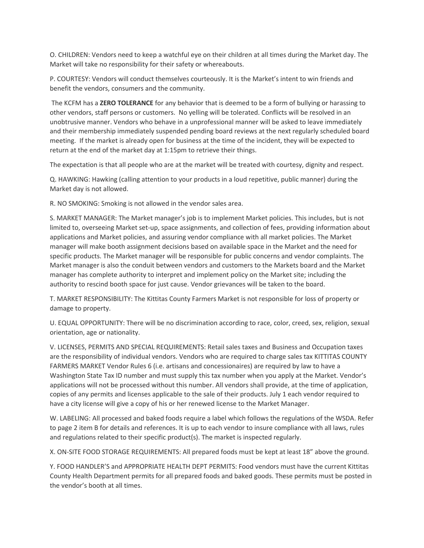O. CHILDREN: Vendors need to keep a watchful eye on their children at all times during the Market day. The Market will take no responsibility for their safety or whereabouts.

P. COURTESY: Vendors will conduct themselves courteously. It is the Market's intent to win friends and benefit the vendors, consumers and the community.

The KCFM has a **ZERO TOLERANCE** for any behavior that is deemed to be a form of bullying or harassing to other vendors, staff persons or customers. No yelling will be tolerated. Conflicts will be resolved in an unobtrusive manner. Vendors who behave in a unprofessional manner will be asked to leave immediately and their membership immediately suspended pending board reviews at the next regularly scheduled board meeting. If the market is already open for business at the time of the incident, they will be expected to return at the end of the market day at 1:15pm to retrieve their things.

The expectation is that all people who are at the market will be treated with courtesy, dignity and respect.

Q. HAWKING: Hawking (calling attention to your products in a loud repetitive, public manner) during the Market day is not allowed.

R. NO SMOKING: Smoking is not allowed in the vendor sales area.

S. MARKET MANAGER: The Market manager's job is to implement Market policies. This includes, but is not limited to, overseeing Market set-up, space assignments, and collection of fees, providing information about applications and Market policies, and assuring vendor compliance with all market policies. The Market manager will make booth assignment decisions based on available space in the Market and the need for specific products. The Market manager will be responsible for public concerns and vendor complaints. The Market manager is also the conduit between vendors and customers to the Markets board and the Market manager has complete authority to interpret and implement policy on the Market site; including the authority to rescind booth space for just cause. Vendor grievances will be taken to the board.

T. MARKET RESPONSIBILITY: The Kittitas County Farmers Market is not responsible for loss of property or damage to property.

U. EQUAL OPPORTUNITY: There will be no discrimination according to race, color, creed, sex, religion, sexual orientation, age or nationality.

V. LICENSES, PERMITS AND SPECIAL REQUIREMENTS: Retail sales taxes and Business and Occupation taxes are the responsibility of individual vendors. Vendors who are required to charge sales tax KITTITAS COUNTY FARMERS MARKET Vendor Rules 6 (i.e. artisans and concessionaires) are required by law to have a Washington State Tax ID number and must supply this tax number when you apply at the Market. Vendor's applications will not be processed without this number. All vendors shall provide, at the time of application, copies of any permits and licenses applicable to the sale of their products. July 1 each vendor required to have a city license will give a copy of his or her renewed license to the Market Manager.

W. LABELING: All processed and baked foods require a label which follows the regulations of the WSDA. Refer to page 2 item B for details and references. It is up to each vendor to insure compliance with all laws, rules and regulations related to their specific product(s). The market is inspected regularly.

X. ON-SITE FOOD STORAGE REQUIREMENTS: All prepared foods must be kept at least 18" above the ground.

Y. FOOD HANDLER'S and APPROPRIATE HEALTH DEPT PERMITS: Food vendors must have the current Kittitas County Health Department permits for all prepared foods and baked goods. These permits must be posted in the vendor's booth at all times.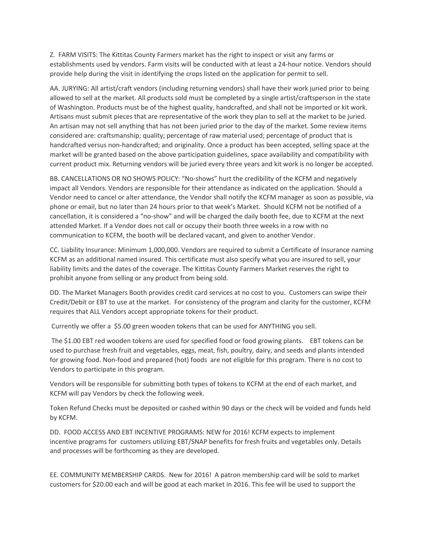Z. FARM VISITS: The Kittitas County Farmers market has the right to inspect or visit any farms or establishments used by vendors. Farm visits will be conducted with at least a 24-hour notice. Vendors should provide help during the visit in identifying the crops listed on the application for permit to sell.

AA. JURYING: All artist/craft vendors (including returning vendors) shall have their work juried prior to being allowed to sell at the market. All products sold must be completed by a single artist/craftsperson in the state of Washington. Products must be of the highest quality, handcrafted, and shall not be imported or kit work. Artisans must submit pieces that are representative of the work they plan to sell at the market to be juried. An artisan may not sell anything that has not been juried prior to the day of the market. Some review items considered are: craftsmanship; quality; percentage of raw material used; percentage of product that is handcrafted versus non-handcrafted; and originality. Once a product has been accepted, selling space at the market will be granted based on the above participation guidelines, space availability and compatibility with current product mix. Returning vendors will be juried every three years and kit work is no longer be accepted.

BB. CANCELLATIONS OR NO SHOWS POLICY: "No-shows" hurt the credibility of the KCFM and negatively impact all Vendors. Vendors are responsible for their attendance as indicated on the application. Should a Vendor need to cancel or alter attendance, the Vendor shall notify the KCFM manager as soon as possible, via phone or email, but no later than 24 hours prior to that week's Market. Should KCFM not be notified of a cancellation, it is considered a "no-show" and will be charged the daily booth fee, due to KCFM at the next attended Market. If a Vendor does not call or occupy their booth three weeks in a row with no communication to KCFM, the booth will be declared vacant, and given to another Vendor.

CC. Liability Insurance: Minimum 1,000,000. Vendors are required to submit a Certificate of Insurance naming KCFM as an additional named insured. This certificate must also specify what you are insured to sell, your liability limits and the dates of the coverage. The Kittitas County Farmers Market reserves the right to prohibit anyone from selling or any product from being sold.

DD. The Market Managers Booth provides credit card services at no cost to you. Customers can swipe their Credit/Debit or EBT to use at the market. For consistency of the program and clarity for the customer, KCFM requires that ALL Vendors accept appropriate tokens for their product.

Currently we offer a \$5.00 green wooden tokens that can be used for ANYTHING you sell.

The \$1.00 EBT red wooden tokens are used for specified food or food growing plants. EBT tokens can be used to purchase fresh fruit and vegetables, eggs, meat, fish, poultry, dairy, and seeds and plants intended for growing food. Non-food and prepared (hot) foods are not eligible for this program. There is no cost to Vendors to participate in this program.

Vendors will be responsible for submitting both types of tokens to KCFM at the end of each market, and KCFM will pay Vendors by check the following week.

Token Refund Checks must be deposited or cashed within 90 days or the check will be voided and funds held by KCFM.

DD. FOOD ACCESS AND EBT INCENTIVE PROGRAMS: NEW for 2016! KCFM expects to implement incentive programs for customers utilizing EBT/SNAP benefits for fresh fruits and vegetables only. Details and processes will be forthcoming as they are developed.

EE. COMMUNITY MEMBERSHIP CARDS. New for 2016! A patron membership card will be sold to market customers for \$20.00 each and will be good at each market in 2016. This fee will be used to support the